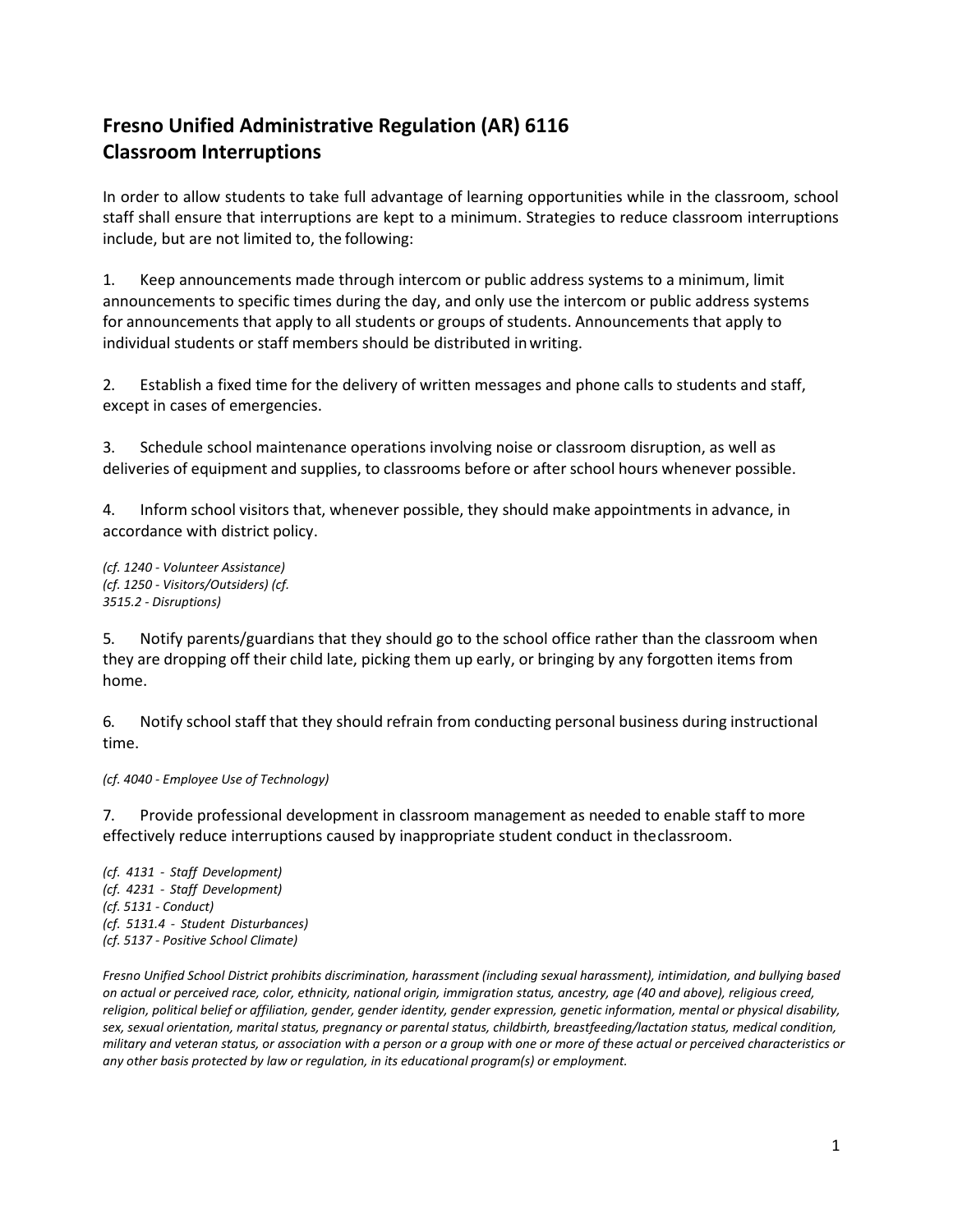## **Fresno Unified Administrative Regulation (AR) 6116 Classroom Interruptions**

In order to allow students to take full advantage of learning opportunities while in the classroom, school staff shall ensure that interruptions are kept to a minimum. Strategies to reduce classroom interruptions include, but are not limited to, the following:

1. Keep announcements made through intercom or public address systems to a minimum, limit announcements to specific times during the day, and only use the intercom or public address systems for announcements that apply to all students or groups of students. Announcements that apply to individual students or staff members should be distributed inwriting.

2. Establish a fixed time for the delivery of written messages and phone calls to students and staff, except in cases of emergencies.

3. Schedule school maintenance operations involving noise or classroom disruption, as well as deliveries of equipment and supplies, to classrooms before or after school hours whenever possible.

4. Inform school visitors that, whenever possible, they should make appointments in advance, in accordance with district policy.

*(cf. 1240 - Volunteer Assistance) (cf. 1250 - Visitors/Outsiders) (cf. 3515.2 - Disruptions)*

5. Notify parents/guardians that they should go to the school office rather than the classroom when they are dropping off their child late, picking them up early, or bringing by any forgotten items from home.

6. Notify school staff that they should refrain from conducting personal business during instructional time.

*(cf. 4040 - Employee Use of Technology)*

7. Provide professional development in classroom management as needed to enable staff to more effectively reduce interruptions caused by inappropriate student conduct in theclassroom.

*(cf. 4131 - Staff Development) (cf. 4231 - Staff Development) (cf. 5131 - Conduct) (cf. 5131.4 - Student Disturbances) (cf. 5137 - Positive School Climate)*

*Fresno Unified School District prohibits discrimination, harassment (including sexual harassment), intimidation, and bullying based on actual or perceived race, color, ethnicity, national origin, immigration status, ancestry, age (40 and above), religious creed, religion, political belief or affiliation, gender, gender identity, gender expression, genetic information, mental or physical disability, sex, sexual orientation, marital status, pregnancy or parental status, childbirth, breastfeeding/lactation status, medical condition, military and veteran status, or association with a person or a group with one or more of these actual or perceived characteristics or any other basis protected by law or regulation, in its educational program(s) or employment.*